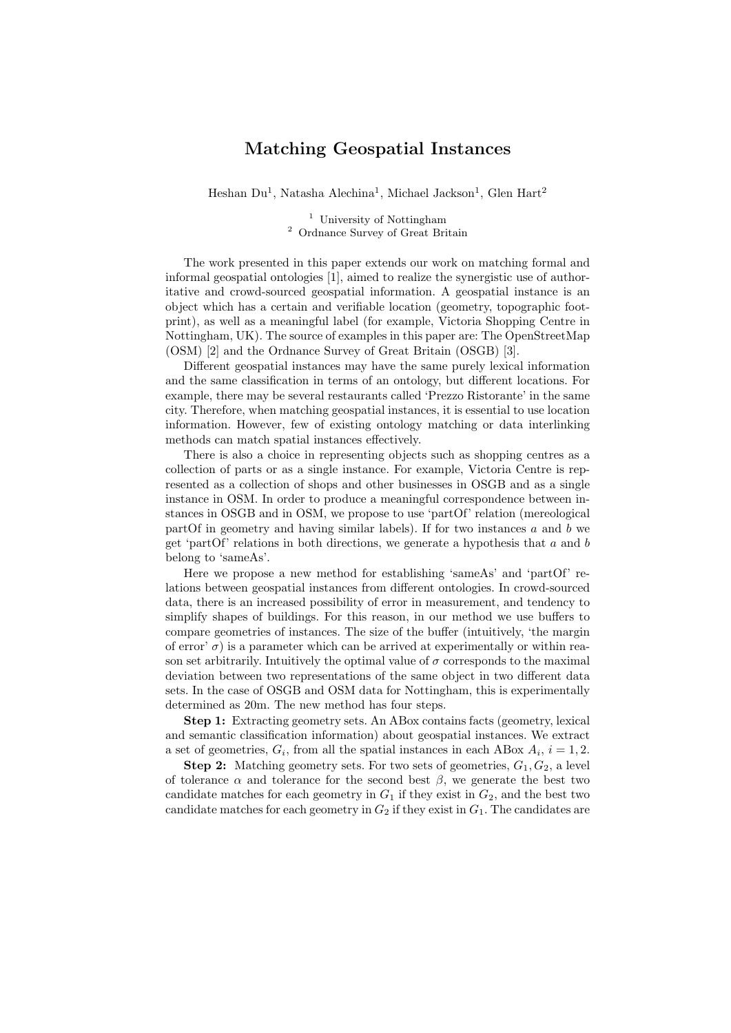## Matching Geospatial Instances

Heshan Du<sup>1</sup>, Natasha Alechina<sup>1</sup>, Michael Jackson<sup>1</sup>, Glen Hart<sup>2</sup>

<sup>1</sup> University of Nottingham <sup>2</sup> Ordnance Survey of Great Britain

The work presented in this paper extends our work on matching formal and informal geospatial ontologies [1], aimed to realize the synergistic use of authoritative and crowd-sourced geospatial information. A geospatial instance is an object which has a certain and verifiable location (geometry, topographic footprint), as well as a meaningful label (for example, Victoria Shopping Centre in Nottingham, UK). The source of examples in this paper are: The OpenStreetMap (OSM) [2] and the Ordnance Survey of Great Britain (OSGB) [3].

Different geospatial instances may have the same purely lexical information and the same classification in terms of an ontology, but different locations. For example, there may be several restaurants called 'Prezzo Ristorante' in the same city. Therefore, when matching geospatial instances, it is essential to use location information. However, few of existing ontology matching or data interlinking methods can match spatial instances effectively.

There is also a choice in representing objects such as shopping centres as a collection of parts or as a single instance. For example, Victoria Centre is represented as a collection of shops and other businesses in OSGB and as a single instance in OSM. In order to produce a meaningful correspondence between instances in OSGB and in OSM, we propose to use 'partOf' relation (mereological partOf in geometry and having similar labels). If for two instances  $a$  and  $b$  we get 'partOf' relations in both directions, we generate a hypothesis that  $a$  and  $b$ belong to 'sameAs'.

Here we propose a new method for establishing 'sameAs' and 'partOf' relations between geospatial instances from different ontologies. In crowd-sourced data, there is an increased possibility of error in measurement, and tendency to simplify shapes of buildings. For this reason, in our method we use buffers to compare geometries of instances. The size of the buffer (intuitively, 'the margin of error'  $\sigma$ ) is a parameter which can be arrived at experimentally or within reason set arbitrarily. Intuitively the optimal value of  $\sigma$  corresponds to the maximal deviation between two representations of the same object in two different data sets. In the case of OSGB and OSM data for Nottingham, this is experimentally determined as 20m. The new method has four steps.

Step 1: Extracting geometry sets. An ABox contains facts (geometry, lexical and semantic classification information) about geospatial instances. We extract a set of geometries,  $G_i$ , from all the spatial instances in each ABox  $A_i$ ,  $i = 1, 2$ .

**Step 2:** Matching geometry sets. For two sets of geometries,  $G_1, G_2$ , a level of tolerance  $\alpha$  and tolerance for the second best  $\beta$ , we generate the best two candidate matches for each geometry in  $G_1$  if they exist in  $G_2$ , and the best two candidate matches for each geometry in  $G_2$  if they exist in  $G_1$ . The candidates are